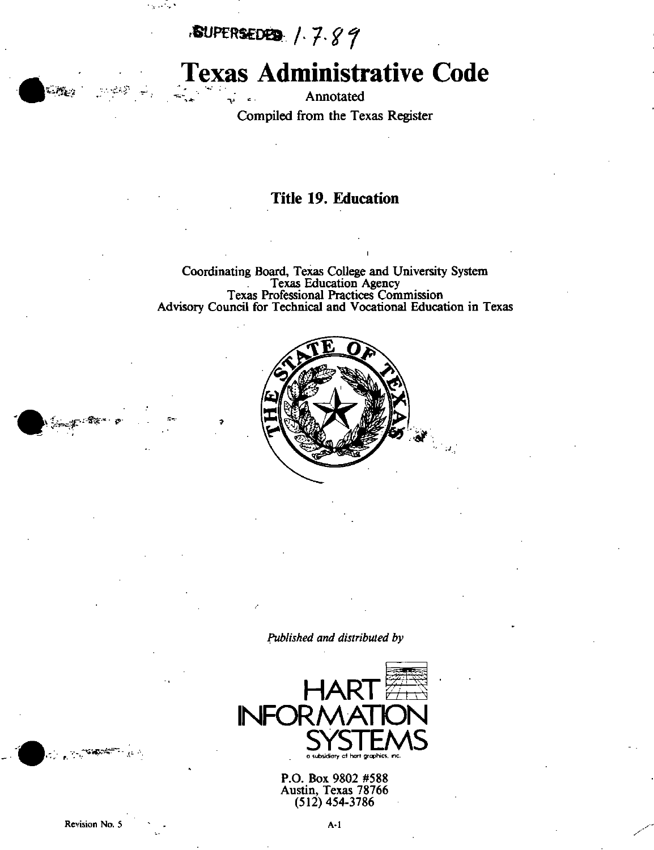# $30$ PERSEDED.  $1.7.89$

# Texas Administrative Code

Annotated Compiled from the Texas Register

# Title 19. Education

Coordinating Board, Texas College and University System Texas Education Agency Texas Professional Practices Commission Advisory Council for Technical and Vocational Education in Texas



Published and distributed by



P.O. Box 9802 #588 Austin, Texas 78766 (512)454-3786

 $V = \sqrt{V}$ 

 $\mathcal{L}^{\text{max}}_{\text{max}} = \mathcal{L}^{\text{max}}_{\text{max}}$ 

 $\sim 10^{-10}$ 

 $-1.5$  and  $-1.5$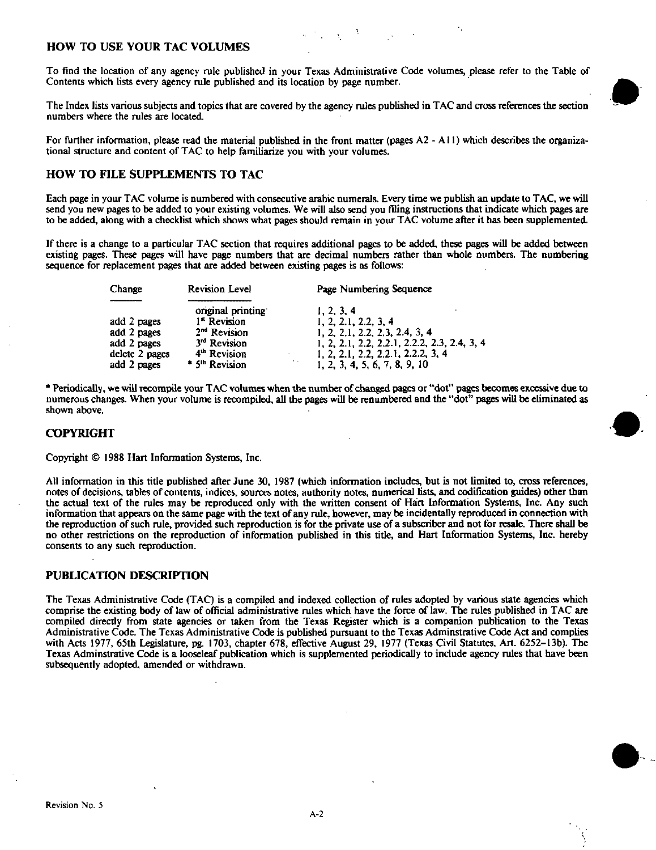# HOW TO USE YOUR TAC VOLUMES

To find the location of any agency rule published in your Texas Administrative Code volumes, please refer to the Table of Contents which lists every agency rule published and its location by page number.

The Index lists various subjects and topics that are covered by the agency rules published in TAC and cross references the section numbers where the rules are located.

For further information, please read the material published in the front matter (pages A2 - Al 1) which describes the organizational structure and content of TAC to help familiarize you with your volumes.

# HOW TO FILE SUPPLEMENTS TO TAC

Each page in your TAC volume is numbered with consecutive arabic numerals. Every time we publish an update to TAC. we will send you new pages to be added to your existing volumes. We will also send you filing instructions that indicate which pages are to be added, along with a checklist which shows what pages should remain in your TAC volume after it has been supplemented.

If there is a change to a particular TAC section that requires additional pages to be added, these pages will be added between existing pages. These pages will have page numbers that are decimal numbers rather than whole numbers. The numbering sequence for replacement pages that are added between existing pages is as follows:

| Change<br><b>Revision Level</b>             | Page Numbering Sequence                        |
|---------------------------------------------|------------------------------------------------|
|                                             |                                                |
| original printing                           | 1, 2, 3, 4                                     |
| add 2 pages<br>1 <sup>st</sup> Revision     | 1, 2, 2.1, 2.2, 3, 4                           |
| add 2 pages<br>2 <sup>nd</sup> Revision     | 1, 2, 2, 1, 2, 2, 2, 3, 2, 4, 3, 4             |
| add 2 pages<br>$3m$ Revision                | 1, 2, 2.1, 2.2, 2.2.1, 2.2.2, 2.3, 2.4, 3, 4   |
| delete 2 pages<br>4 <sup>th</sup> Revision  | 1, 2, 2.1, 2.2, 2.2.1, 2.2.2, 3, 4             |
| $*$ 5 <sup>th</sup> Revision<br>add 2 pages | $\sim$ $\sim$<br>1, 2, 3, 4, 5, 6, 7, 8, 9, 10 |

\* PeriodicaUy, we will recompile your TAC volumes when the number of changed p^es or "dot" pages becomes excessive due to numerous changes. When your volume is recompiled, all the pages will be renumbered and the "dot" pages will be eliminated as shown above.

#### COPYRIGHT

Copyright © 1988 Hart Information Systems, Inc.

All information in this title published after June 30, 1987 (which information includes, but is not limited to, cross references, notes of decisions, tables of contents, indices, sources notes, authority notes, numerical lists, and codiflcation guides) other than the actual text of the rules may be reproduced only with the written consent of Hart Information Systems, Inc. Any such information that appears on the same page with the text of any rule, however, may be incidentally reproduced in connection with the reproduction of such rule, provided such reproduction is for the private use of a subscriber and not for resale. There shall be no other restrictions on the reproduction of information published in this title, and Hart Information Systems, Inc. hereby consents to any such reproduction.

#### PUBLICATION DESCRIPTION

The Texas Administrative Code (TAC) is a compiled and indexed collection of rules adopted by various state agencies which comprise the existing body of law of official administrative rules which have the force of law. The rules published in TAC are compiled directly from state agencies or taken from the Texas Register which is a companion publication to the Texas Administrative Code. The Texas Administrative Code is published pursuant to the Texas Adminslrative Code Act and complies with Acts 1977, 65th Legislature, pg. 1703, chapter 678, effective August 29, 1977 (Texas Civil Statutes, Art. 6252-13b). The Texas Adminstrative Code is a looseleaf publication which is supplemented periodically to include agency rules that have been subsequently adopted, amended or withdrawn.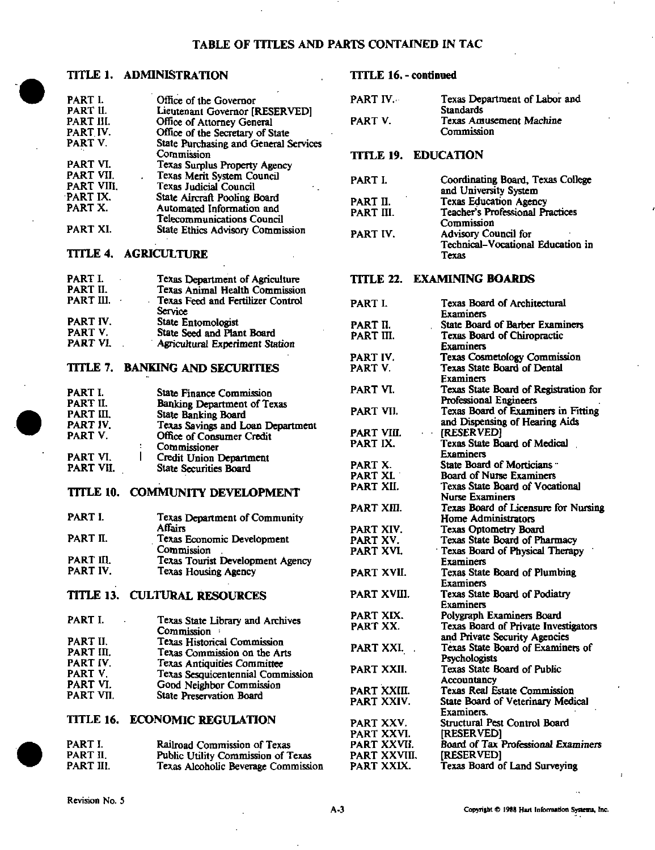# TITLE 1. ADMINISTRATION TITLE 16. - continued

| PART I.    | Office of the Governor                |
|------------|---------------------------------------|
| PART II.   | Lieutenant Governor [RESERVED]        |
| PART III.  | Office of Attorney General            |
| PART IV.   | Office of the Secretary of State      |
| PART V.    | State Purchasing and General Services |
|            | Commission                            |
| PART VI.   | Texas Surplus Property Agency         |
| PART VII.  | Texas Merit System Council            |
| PART VIII. | Texas Judicial Council                |
| PART IX.   | State Aircraft Pooling Board          |
| PART X.    | Automated Information and             |
|            | <b>Telecommunications Council</b>     |
| PART XI.   | State Ethics Advisory Commission      |
| TITLE 4.   | <b>AGRICULTURE</b>                    |

#### Numulut

| <b>Texas Department of Agriculture</b> |
|----------------------------------------|
| <b>Texas Animal Health Commission</b>  |
| Texas Feed and Fertilizer Control      |
| Service                                |
| State Entomologist                     |
| State Seed and Plant Board             |
| <b>Agricultural Experiment Station</b> |
|                                        |

# TITLE 7. BANKING AND SECURITIES

| PART I.   |   | <b>State Finance Commission</b>   |
|-----------|---|-----------------------------------|
| PART II.  |   | Banking Department of Texas       |
| PART III. |   | <b>State Banking Board</b>        |
| PART IV.  |   | Texas Savings and Loan Department |
| PART V.   |   | Office of Consumer Credit         |
|           | ÷ | Commissioner                      |
| PART VI.  |   | Credit Union Department           |
| PART VII. |   | <b>State Securities Board</b>     |
|           |   |                                   |

# TITLE 10. COMMUNITY DEVELOPMENT

| Texas Department of Community<br>Affairs |
|------------------------------------------|
| Texas Economic Development               |
| Commission                               |
| Texas Tourist Development Agency         |
| <b>Texas Housing Agency</b>              |
|                                          |

# TITLE 13. CULTURAL RESOURCES

| PART I.   | Texas State Library and Archives   |
|-----------|------------------------------------|
|           | $Commission$ :                     |
| PART II.  | Texas Historical Commission        |
| PART III. | Texas Commission on the Arts       |
| PART IV.  | <b>Texas Antiquities Committee</b> |
| PART V.   | Texas Sesquicentennial Commission  |
| PART VI.  | Good Neighbor Commission           |
| PART VII. | <b>State Preservation Board</b>    |

### TITLE 16. ECONOMIC REGULATION

| PART I.   | Railroad Commission of Texas        |
|-----------|-------------------------------------|
| PART II.  | Public Utility Commission of Texas  |
| PART III. | Texas Alcoholic Beverage Commission |

| <b>PART IV.</b> | Texas Department of Labor and |
|-----------------|-------------------------------|
|                 | <b>Standards</b>              |
| PART V.         | Texas Amusement Machine       |
|                 | Commission                    |

# TITLE 19. EDUCATION

| PART I.       | Coordinating Board, Texas College<br>and University System |
|---------------|------------------------------------------------------------|
| ٠<br>PART II. | <b>Texas Education Agency</b>                              |
| PART III.     | <b>Teacher's Professional Practices</b>                    |
|               | Commission                                                 |
| PART IV.      | Advisory Council for                                       |
|               | Technical-Vocational Education in                          |
|               | Texas                                                      |

## TITLE 22. EXAMINING BOARDS

| PART I.          | <b>Texas Board of Architectural</b><br>Examiners |
|------------------|--------------------------------------------------|
| PART II.         | State Board of Barber Examiners                  |
| PART III.        | <b>Texas Board of Chiropractic</b>               |
|                  | Examiners                                        |
| PART IV.         | <b>Texas Cosmetology Commission</b>              |
| PART V.          | Texas State Board of Dental                      |
|                  | Examiners                                        |
| PART VI.         | Texas State Board of Registration for            |
|                  |                                                  |
|                  | Professional Engineers                           |
| PART VII.        | Texas Board of Examiners in Fitting              |
|                  | and Dispensing of Hearing Aids                   |
| PART VIII.       | <b>RESERVED</b>                                  |
| PART IX.         | <b>Texas State Board of Medical</b>              |
|                  | <b>Examiners</b>                                 |
| PART X.          | State Board of Morticians "                      |
| PART XI.         | <b>Board of Nurse Examiners</b>                  |
| PART XII.        | Texas State Board of Vocational                  |
|                  | Nurse Examiners                                  |
| PART XIII.       | Texas Board of Licensure for Nursing             |
|                  | Home Administrators                              |
| PART XIV.        | <b>Texas Optometry Board</b>                     |
| PART XV.         | Texas State Board of Pharmacy                    |
| PART XVI.        | Texas Board of Physical Therapy                  |
|                  | Examiners                                        |
| PART XVII.       | <b>Texas State Board of Plumbing</b>             |
|                  | Examiners                                        |
| PART XVIII.      | <b>Texas State Board of Podiatry</b>             |
|                  | Examiners                                        |
| PART XIX.        | Polygraph Examiners Board                        |
| PART XX.         | Texas Board of Private Investigators             |
|                  | and Private Security Agencies                    |
| <b>PART XXI.</b> | Texas State Board of Examiners of                |
|                  | Psychologists                                    |
| PART XXII.       | Texas State Board of Public                      |
|                  | Accountancy                                      |
| PART XXIII.      | <b>Texas Real Estate Commission</b>              |
| PART XXIV.       | <b>State Board of Veterinary Medical</b>         |
|                  | Examiners.                                       |
| PART XXV.        | Structural Pest Control Board                    |
| PART XXVI.       | [RESERVED]                                       |
| PART XXVII.      | <b>Board of Tax Professional Examiners</b>       |
| PART XXVIII.     | [RESERVED]                                       |
| PART XXIX.       | Texas Board of Land Surveying                    |
|                  |                                                  |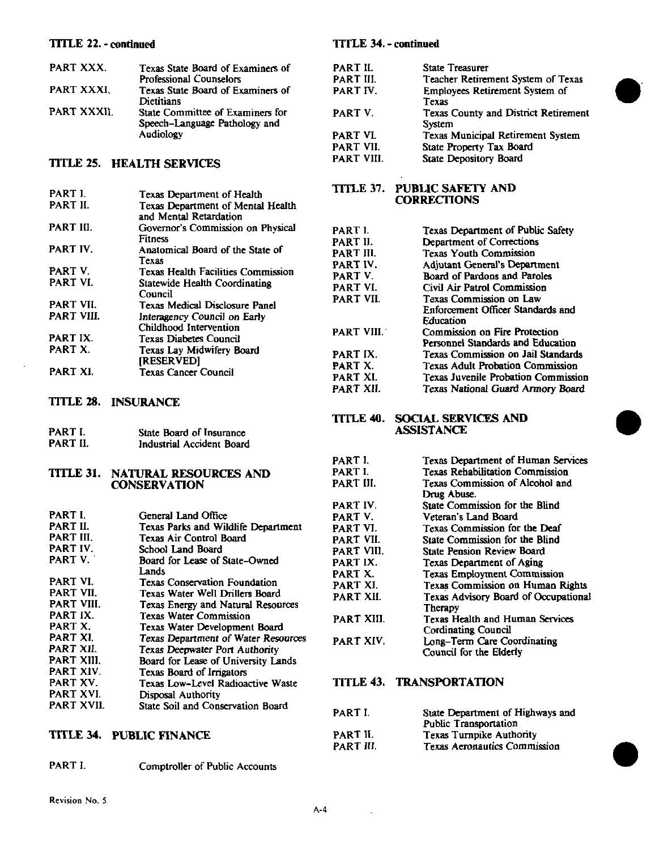### TITLE 22. - continued

| PART XXX.   | Texas State Board of Examiners of |
|-------------|-----------------------------------|
|             | Professional Counselors           |
| PART XXXI.  | Texas State Board of Examiners of |
|             | <b>Dictitians</b>                 |
| PART XXXII. | State Committee of Examiners for  |
|             | Speech-Language Pathology and     |
|             | Audiology                         |
|             |                                   |

# TITLE 25. HEALTH SERVICES

| PART I.    | Texas Department of Health                                  |
|------------|-------------------------------------------------------------|
| PART II.   | Texas Department of Mental Health<br>and Mental Retardation |
| PART III.  | Governor's Commission on Physical<br><b>Fitness</b>         |
| PART IV.   | Anatomical Board of the State of<br>Texas                   |
| PART V     | Texas Health Facilities Commission                          |
| PART VI.   | <b>Statewide Health Coordinating</b><br>Council             |
| PART VII.  | <b>Texas Medical Disclosure Panel</b>                       |
| PART VIII. | Interagency Council on Early<br>Childhood Intervention      |
| PART IX.   | <b>Texas Diabetes Council</b>                               |
| PART X     | Texas Lay Midwifery Board<br><b>IRESERVEDI</b>              |
| PART XI.   | Texas Cancer Council                                        |

# TITLE 28. INSURANCE

| PART I.  | State Board of Insurance  |
|----------|---------------------------|
| PART II. | Industrial Accident Board |

#### TITLE 31. NATURAL RESOURCES AJND CONSERVATION

| PART I.    | General Land Office                       |
|------------|-------------------------------------------|
| PART II.   | Texas Parks and Wildlife Department       |
| PART III.  | Texas Air Control Board                   |
| PART IV.   | School Land Board                         |
| PART V.    | Board for Lease of State–Owned            |
|            | Lands                                     |
| PART VI.   | <b>Texas Conservation Foundation</b>      |
| PART VII.  | Texas Water Well Drillers Board           |
| PART VIII. | <b>Texas Energy and Natural Resources</b> |
| PART IX.   | <b>Texas Water Commission</b>             |
| PART X.    | Texas Water Development Board             |
| PART XI.   | Texas Department of Water Resources       |
| PART XII.  | Texas Deepwater Port Authority            |
| PART XIII. | Board for Lease of University Lands       |
| PART XIV.  | Texas Board of Irrigators                 |
| PART XV.   | Texas Low-Level Radioactive Waste         |
| PART XVI.  | Disposal Authority                        |
| PART XVII. | State Soil and Conservation Board         |
|            |                                           |

# TITLE 34. PUBLIC FINANCE

# PART I. Comptroller of Public Accounts

## TITLE 34. - continued

| PART II.   | <b>State Treasurer</b>                      |
|------------|---------------------------------------------|
| PART III.  | Teacher Retirement System of Texas          |
| PART IV.   | <b>Employees Retirement System of</b>       |
|            | Texas                                       |
| PART V     | <b>Texas County and District Retirement</b> |
|            | System                                      |
| PART VI.   | <b>Texas Municipal Retirement System</b>    |
| PART VII.  | <b>State Property Tax Board</b>             |
| PART VIII. | <b>State Depository Board</b>               |

# TITLE 37. PUBLIC SAFETY AND **CORRECTIONS**

| PART I.   | <b>Texas Department of Public Safety</b> |
|-----------|------------------------------------------|
| PART II.  | Department of Corrections                |
| PART III. | <b>Texas Youth Commission</b>            |
| PART IV.  | Adiutant General's Department            |
| PART V.   | Board of Pardons and Paroles             |
| PART VI.  | Civil Air Patrol Commission              |
| PART VII. | Texas Commission on Law                  |
|           | Enforcement Officer Standards and        |
|           | <b>Education</b>                         |
| PART VIII | <b>Commission on Fire Protection</b>     |
|           | Personnel Standards and Education        |
| PART IX.  | Texas Commission on Jail Standards       |
| PART X.   | <b>Texas Adult Probation Commission</b>  |
| PART XI.  | Texas Juvenile Probation Commission      |
| PART XII. | Texas National Guard Armory Board        |
|           |                                          |

# TITLE 40. SOCIAL SERVICES AND ASSISTANCE

| PART I.    | Texas Department of Human Services      |
|------------|-----------------------------------------|
| PART I.    | Texas Rehabilitation Commission         |
| PART III.  | Texas Commission of Alcohol and         |
|            | Drug Abuse.                             |
| PART IV.   | State Commission for the Blind          |
| PART V.    | Veteran's Land Board                    |
| PART VI.   | Texas Commission for the Deaf           |
| PART VII.  | State Commission for the Blind          |
| PART VIII. | State Pension Review Board              |
| PART IX.   | Texas Department of Aging               |
| PART X.    | Texas Employment Commission             |
| PART XI.   | <b>Texas Commission on Human Rights</b> |
| PART XII.  | Texas Advisory Board of Occupational    |
|            | Therapy                                 |
| PART XIII. | Texas Health and Human Services         |
|            | <b>Cordinating Council</b>              |
| PART XIV.  | Long-Term Care Coordinating             |
|            | Council for the Elderly                 |

# TITLE 43. TRANSPORTATION

| PART I.   | State Department of Highways and    |
|-----------|-------------------------------------|
|           | Public Transportation               |
| PART II.  | Texas Turnpike Authority            |
| PART III. | <b>Texas Aeronautics Commission</b> |

 $\sim$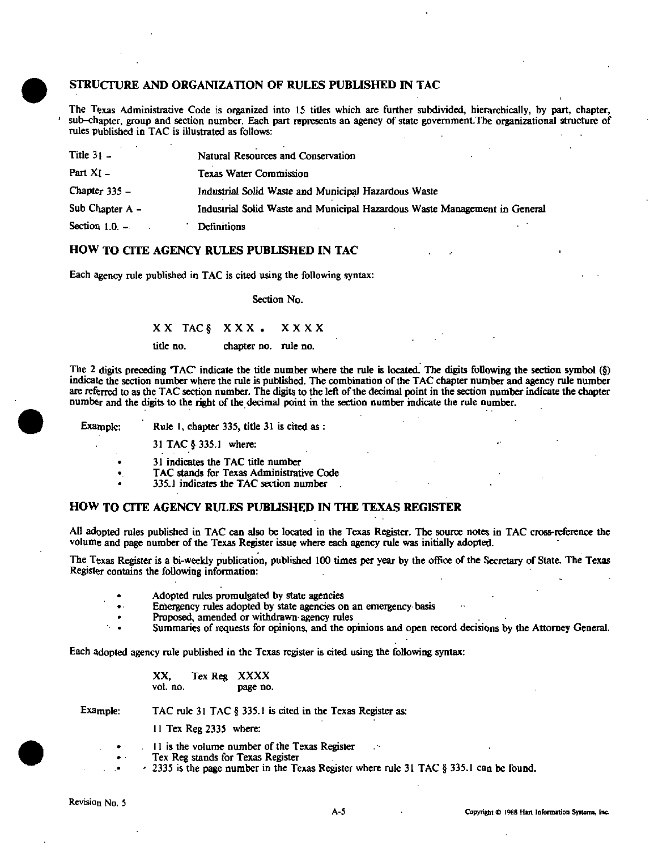#### STRUCTURE AND ORGANIZATION OF RULES PUBLISHED IN TAC

The Texas Administrative Code is organized into 15 titles which are further subdivided, hierarchically, by part, chapter, sub-chapter, group and section number. Each part represents an agency of state government. The organizational structure of rules published in TAC is illustrated as follows:

| Title $31 -$      | Natural Resources and Conservation                                         |  |
|-------------------|----------------------------------------------------------------------------|--|
| Part $Xi$ –       | Texas Water Commission                                                     |  |
| Chapter $335 -$   | Industrial Solid Waste and Municipal Hazardous Waste                       |  |
| Sub Chapter $A -$ | Industrial Solid Waste and Municipal Hazardous Waste Management in General |  |
| Section $1.0 -$   | Definitions                                                                |  |

#### HOW TO CITE AGENCY RULES PUBLISHED IN TAC

Each agency rule published in TAC is cited using the following syntax:

#### Section No.

#### XX TAC & XXX. XXXX

title no. chapter no. rule no.

The 2 digits preceding 'TAC indicate the title number where the rule is located. The digits following the section symbol (§) indicate the section number where the rule is published. The combination of the TAC chapter number and agency rule number are referred to as the TAC section number. The digits to the left of the decimal point in the section number indicate the chapter number and the digits to the right of the decimal point in the section number indicate the rule number.

Example: Rule 1, chapter 335, title 31 is cited as :

31 TAC §335.1 where:

- 31 indicates the TAC title number
- TAC stands for Texas Administrative Code
- 335-1 indicates the TAC section number

#### HOW TO CITE AGENCY RULES PUBUSHED IN THE TEXAS REGISTER

All adopted rules published in TAC can also be located in the Texas Register. The source notes in TAC cross-reference the volume and page number of the Texas Register issue where each agency rule was initially adopted.

The Texas Register is a bi-weekly publication, published 100 times per year by the office of the Secretary of State. The Texas Register contains the following information:

- Adopted rules promulgated by state agencies
- Emergency rules adopted by state agencies on an emergency basis
- Proposed, amended or withdrawn agency rules
- Summaries of requests for opinions, and the opinions and open record decisions by the Attorney General.

Each adopted agency rule published in the Texas register is cited using the following syntax:

|             | Tex Reg. XXXX<br>XX.<br>vol. no.<br>page no.                                                              |
|-------------|-----------------------------------------------------------------------------------------------------------|
| Example:    | TAC rule 31 TAC § 335.1 is cited in the Texas Register as:                                                |
|             | $11$ Tex Reg 2335 where:                                                                                  |
| $\bullet$ . | $\therefore$ 11 is the volume number of the Texas Register<br>Tex Reg stands for Texas Register<br>$\sim$ |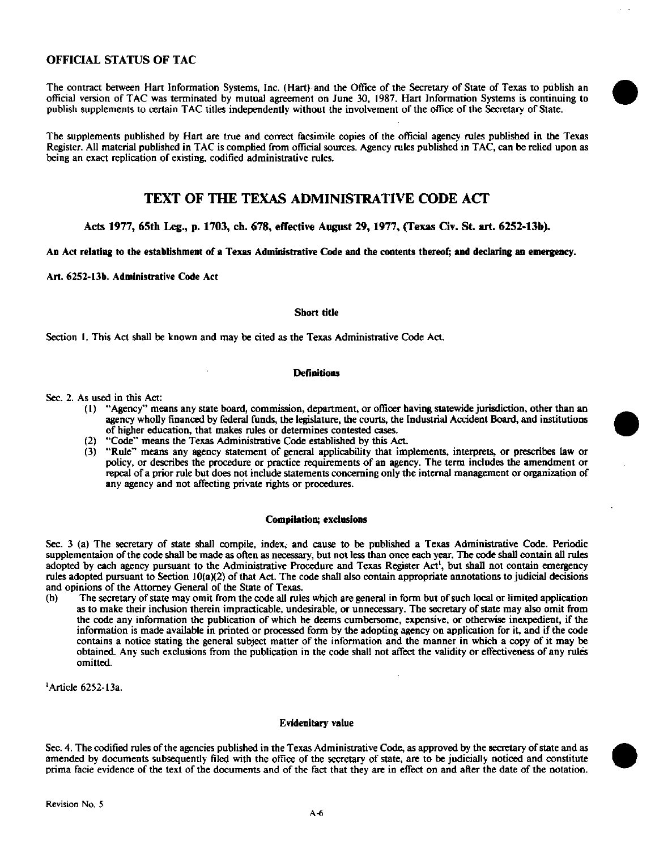## OFFICIAL STATUS OF TAC

The contract between Hart Information Systems, Inc. (Hart) and the Office of the Secretary of State of Texas to publish an official version of TAC was terminated by mutual agreement on June 30, 1987. Hart Information Systems is continuing to publish supplements to certain TAC titles independently without the involvement of the office of the Secretary of State.

The supplements published by Hart are true and correct facsimile copies of the official agency rules published in the Texas Register. All material published in TAC is complied from official sources. Agency rules published in TAC, can be relied upon as being an exact replication of existing, codified administrative rules.

# TEXT OF THE TEXAS ADMINISTRATIVE CODE ACT

Acts 1977, 65th Leg., p. 1703, ch. 678, efTective August 29, 1977, (Texas Ov. St. art. 6252-13b).

An Act relating to the establishment of a Texas Administrative Code and the contents thereof; and declaring an emergency.

Art. 6252-l3b. Administrative Code Act

#### Short title

Section 1. This Act shall be known and may be cited as the Texas Administrative Code Act

#### **Definitions**

Sec. 2. As used in this Act:

- (1) "Agency" means any state board, commission, department, or officer having statewide jurisdiction, other than an agency wholly financed by federal funds, the legislature, the courts, the Industrial Accident Board, and institutions of higher education, that makes rules or determines contested cases.
- (2) \*'Code" means the Texas Administrative Code established by this Act.
- (3) "Rule" means any agency statement of general applicability that implements, interprets, or prescribes law or policy, or describes the procedure or practice requirements of an agency. The term includes the amendment or repeal of a prior rule but does not include statements concerning only the internal management or organization of any agency and not affecting private rights or procedures.

#### Compilation; exclusions

Sec. 3 (a) The secretary of state shall compile, index, and cause to be published a Texas Administrative Code. Periodic supplementaion of the code shall be made as often as necessary, but not less than once each year. The code shall contain all rules adopted by each agency pursuant to the Administrative Procedure and Texas Register Act', but shall not contain emergency rules adopted pursuant to Section 10(a)(2) of that Act. The code shall also contain appropriate annotations to judicial decisions and opinions of the Attorney General of the State of Texas.

(b) The secretary of state may omit from the code all rules which are general inform but ofsuch local or limited application as to make their inclusion therein impracticable, undesirable, or unnecessary. The secretary of state may also omit from the code any information the publication of which he deems cumbersome, expensive, or otherwise inexpedient, if the information is made available in printed or processed form by the adopting agency on application for it, and if the code contains a notice stating the general subject matter of the information and the manner in which a copy of it may be obtained. Any such exclusions from the publication in the code shall not affect the validity or effectiveness of any rules omitted.

'Article 6252-13a.

#### Evidenitary value

Sec. 4. The codified rules of the agencies published in the Texas Administrative Code, as approved by the secretary of state and as amended by documents subsequently filed with the office of the secretary of state, are to be judicially noticed and constitute prima facie evidence of the text of the documents and of the fact that they are in effect on and after the date of the notation.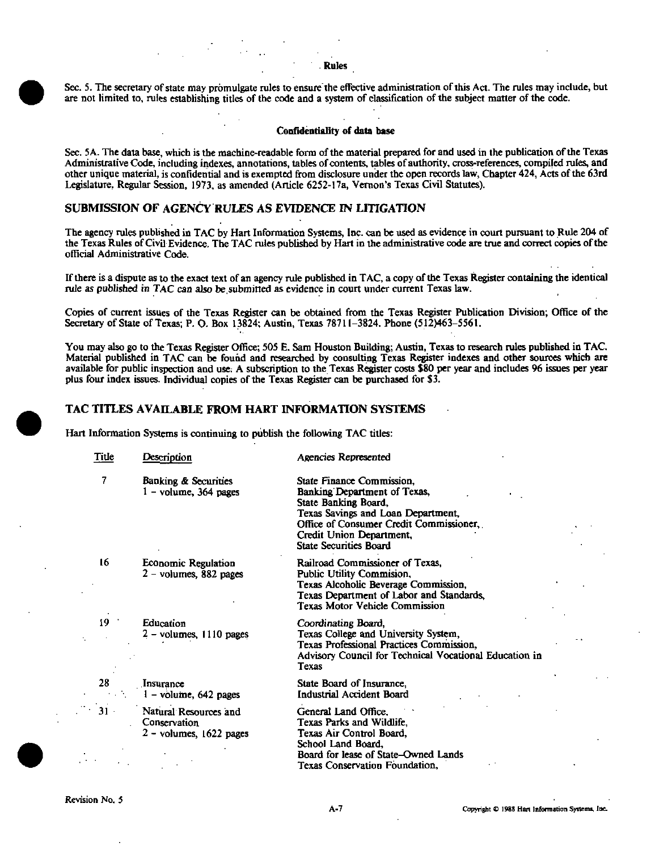Rules

Sec. 5. The secretary of state may promulgate rules to ensure the effective administration of this Act. The rules may include, but are not limited to, rules establishing titles of the code and a system of classification of the subject matter of the code.

#### Confldentiality of data base

Sec. 5A. The data base, which is the machine-readable form of the material prepared for and used in the publication of the Texas Administrative Code, including indexes, annotations, tables of contents, tables of authority, cross-references, compiled rules, and other unique material, is confidential and is exempted from disclosure under the open records law, Chapter 424, Acts of the 63rd Legislature, Regular Session, 1973, as amended (Article 6252-17a, Vernon's Texas Civil Statutes),

#### SUBMISSION OF AGENCY RULES AS EVIDENCE IN LITIGATION

The agency rules published in TAC by Hart Information Systems, Inc. can be used as evidence in court pursuant to Rule 204 of the Texas Rules of Civil Evidence. The TAC rules published by Hart in the administrative code are true and correct copies of the official Administrative Code.

If there is a dispute as lo the exact text of an agency rule published in TAC, a copy of the Texas Register containing the identical rule as published in TAC can also be submitted as evidence in court under current Texas law.

Copies of current issues of the Texas Register can be obtained from the Texas Register Publication Division; Office of the Secretary of State of Texas; P. O. Box 13824; Austin, Texas 78711-3824. Phone (512)463-5561.

You may also go to the Texas Register Office; 505 E. Sam Houston Building; Austin, Texas to research rules published in TAC. Material published in TAC can be found and researched by consulting Texas Register indexes and other sources which are available for public inspection and use; A subscription to the Texas Register costs \$80 per year and includes 96 issues per year plus four index issues. Individual copies of the Texas Register can be purchased for \$3.

#### TAC TITLES AVAILABLE FROM HART INFORMATION SYSTEMS

Hart Information Systems is continuing to publish the following TAC titles:

| Title  | Description                                                        | <b>Agencies Represented</b>                                                                                                                                                                                                     |
|--------|--------------------------------------------------------------------|---------------------------------------------------------------------------------------------------------------------------------------------------------------------------------------------------------------------------------|
| 7      | Banking & Securities<br>$1 -$ volume, 364 pages                    | State Finance Commission,<br>Banking Department of Texas,<br>State Banking Board,<br>Texas Savings and Loan Department,<br>Office of Consumer Credit Commissioner,<br>Credit Union Department,<br><b>State Securities Board</b> |
| 16     | <b>Economic Regulation</b><br>2 - volumes, 882 pages               | Railroad Commissioner of Texas,<br>Public Utility Commision,<br>Texas Alcoholic Beverage Commission,<br>Texas Department of Labor and Standards,<br>Texas Motor Vehicle Commission                                              |
| 19     | Education<br>$2 -$ volumes, 1110 pages                             | Coordinating Board,<br>Texas College and University System,<br>Texas Professional Practices Commission,<br>Advisory Council for Technical Vocational Education in<br>Texas                                                      |
| 28     | Insurance<br>$1 -$ volume, 642 pages                               | State Board of Insurance,<br>Industrial Accident Board                                                                                                                                                                          |
| $31 -$ | Natural Resources and<br>Conservation<br>$2 -$ volumes, 1622 pages | General Land Office,<br>Texas Parks and Wildlife,<br>Texas Air Control Board,<br>School Land Board,<br>Board for lease of State-Owned Lands<br>Texas Conservation Foundation,                                                   |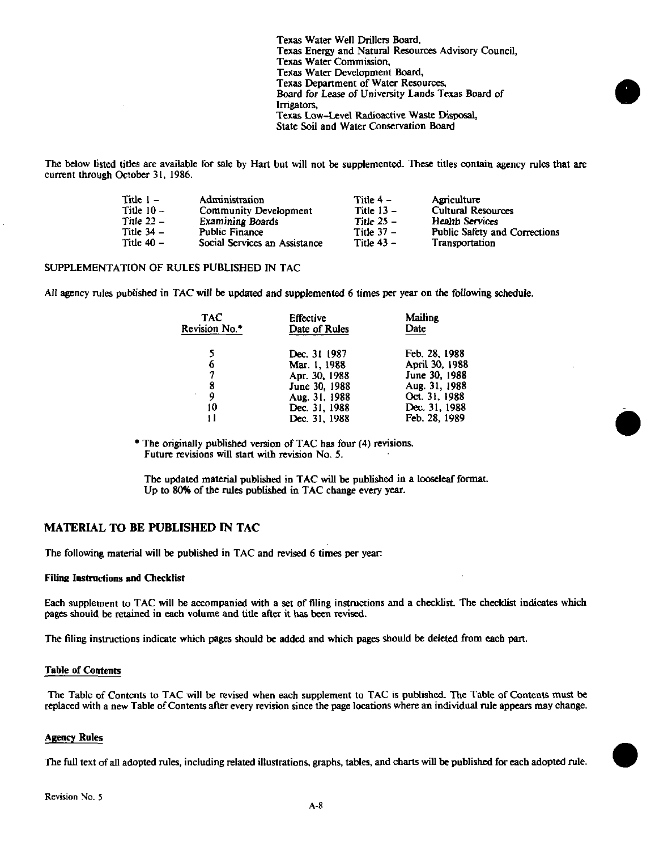Texas Water Well Drillers Board, Texas Energy and Natural Resources Advisory Council, Texas Water Commission, Texas Water Development Board, Texas Department of Water Resources, Board for Lease of University Lands Texas Board of Irrigators, Texas Low-Level Radioactive Waste Disposal, State Soil and Water Conservation Board

The below listed titles are available for sale by Hart but will not be supplemented. These titles contain agency rules that are current through October 31, 1986.

| Title $1 -$  | Administration                | Title $4-$   | Agriculture                          |
|--------------|-------------------------------|--------------|--------------------------------------|
| Title $10 -$ | <b>Community Development</b>  | Title $13 -$ | <b>Cultural Resources</b>            |
| Title $22 -$ | <b>Examining Boards</b>       | Title $25 -$ | <b>Health Services</b>               |
| Title 34 –   | <b>Public Finance</b>         | Title $37 -$ | <b>Public Safety and Corrections</b> |
| Title $40 -$ | Social Services an Assistance | Title $43 -$ | Transportation                       |

#### SUPPLEMENTATION OF RULES PUBLISHED IN TAC

All agency rules published in TAC will be updated and supplemented 6 times per year on the following schedule.

| <b>TAC</b><br>Revision No.* | <b>Effective</b><br>Date of Rules | <b>Mailing</b><br>Date |
|-----------------------------|-----------------------------------|------------------------|
| S                           | Dec. 31 1987                      | Feb. 28, 1988          |
| 6                           | Mar. 1, 1988                      | April 30, 1988         |
| 7                           | Арг. 30, 1988                     | June 30, 1988          |
| 8                           | June 30, 1988                     | Aug. 31, 1988          |
| 9                           | Aug. 31, 1988                     | Oct. 31, 1988          |
| 10                          | Dec. 31, 1988                     | Dec. 31, 1988          |
| 11                          | Dec. 31, 1988                     | Feb. 28, 1989          |

\* The originally published version of TAC has four (4) revisions. Future revisions will start with revision No. 5.

The updated material published in TAC will be published in a looseleaf format. Up to 80% of the rules published in TAC change every year.

#### MATERIAL TO BE PUBLISHED IN TAC

The following material will be published in TAC and revised 6 times per year

#### Filing Instructions and Checklist

Each supplement to TAC will be accompanied with a set of filing instructions and a checklist. The checklist indicates which pages should be retained in each volume and title after it has been revised.

The filing instructions indicate which pages should be added and which pages should be deleted from each part.

#### Table of Contents

The Table of Contents to TAC will be revised when each supplement to TAC is published. The Table of Contents must be replaced with a new Table of Contents after every revision since the page locations where an individual rule appears may change.

#### Agency Rules

The full text of all adopted rules, including related illustrations, graphs, tables, and charts will be published for each adopted rule.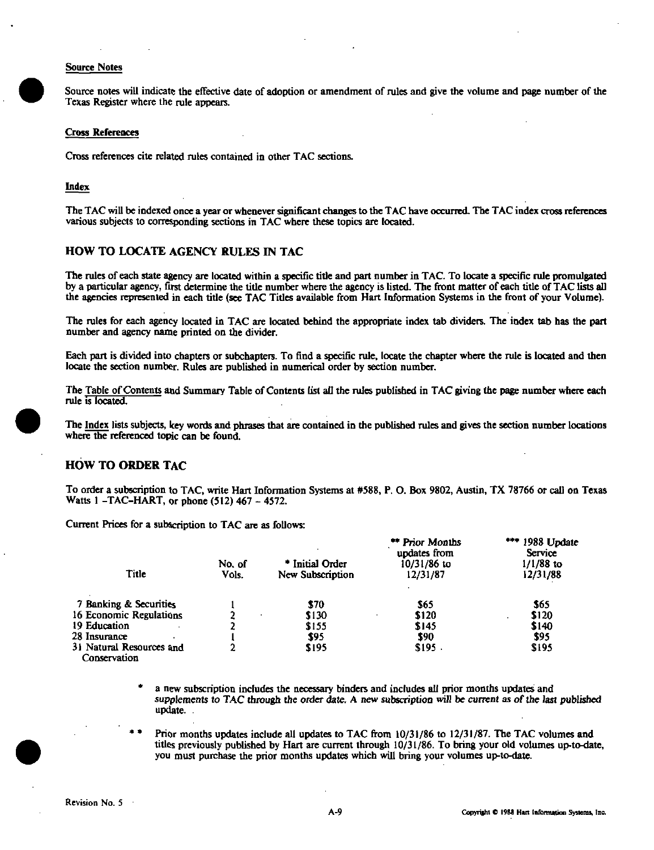#### Source Notes

Source notes will indicate the effective date of adoption or amendment of rules and give the volume and page number of the Texas Register where the rule appears.

#### Cross References

Cross references cite related rules contained in other TAC sections.

#### Index

The TAC will be indexed once a year or whenever significant changes to the TAC have occurred. The TAC index cross references various subjects to corresponding sections in TAC where these topics are located.

# HOW TO LOCATE AGENCY RULES IN TAC

The rules of each state agency are located within a specific title and part number in TAC. To locate a specific rule promulgated by a particular agency, fust determine the tide number where the agency is listed. The firont matter of each title of TAC lists all the agencies represented in each title (see TAC Titles available from Hart Information Systems in the fiont of your Volume).

The rules for each agency located in TAC are located behind the appropriate index tab dividers. The index tab has the part number and agency name printed on the divider.

Each part is divided into chapters or subchapters. To find a specific rule, locate the chapter where the rule is located and then locate the section number. Rules are published in numerical order by section number.

The Table of Contents and Summary Table of Contents list all the rules published in TAC giving the page number where each rule is located.

The Index lists subjects, key words and phrases that are contained in the published rules and gives the section number locations where the referenced topic can be found.

# HOW TO ORDER TAC

To order a subscription to TAC, write Hart Information Systems at #588, P. O. Box 9802, Austin, TX 78766 or call on Texas Watts I -TAC-HART, or phone (512) 467 - 4572.

Current Prices for a subscription to TAC are as follows:

|                          |        |                  | ** Prior Months<br>updates from | *** 1988 Update<br>Service |
|--------------------------|--------|------------------|---------------------------------|----------------------------|
|                          | No, of | * Initial Order  | 10/31/86 to                     | $1/1/88$ to                |
| Title                    | Vols.  | New Subscription | 12/31/87                        | 12/31/88                   |
| 7 Banking & Securities   |        | \$70             | <b>S65</b>                      | \$65                       |
| 16 Economic Regulations  |        | \$130            | \$120                           | \$120                      |
| 19 Education             |        | \$155            | \$145                           | \$140                      |
| 28 Insurance             |        | \$95             | \$90                            | \$95                       |
| 31 Natural Resources and |        | \$195            | \$195.                          | \$195                      |
| Conservation             |        |                  |                                 |                            |

a new subscription includes the necessary binders and includes all prior months updates and supplements to TAC through the order date. A new subscription will be current as of the last published update.

Prior months updates include all updates to TAC from 10/31/86 to 12/31/87. The TAC volumes and titles previously pubfished by Hart are current through 10/31/86. To bring your old volumes up-to-date, you must purchase the prior months updates which will bring your volumes up-to-date.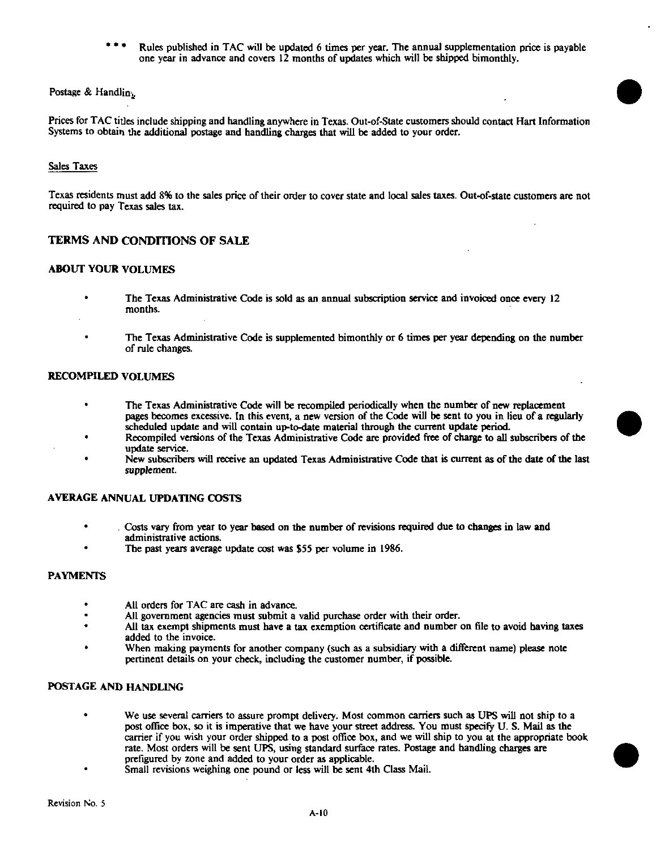Rules published in TAC will be updated 6 times per year. The annual supplementation price is payable one year in advance and covers 12 months of updates which will be shipped bimonthly.

#### Postage & Handlin.

Prices for TAC titles include shipping and handling anywhere in Texas. Out-of-State customers should contact Hart Information Systems to obtain the additional postage and handling charges that will be added to your order.

#### Sales Taxes

Texas residents must add 8% to the sales price of their order to cover state and local sales taxes. Out-of-state customers are not required to pay Texas sales tax.

#### TERMS AND CONDITIONS OF SALE

#### ABOUT YOUR VOLUMES

- The Texas Administrative Code is sold as an annual subscription service and invoiced once every 12 months.
- The Texas Administrative Code is supplemented bimonthly or 6 times per year depending on the number of rule changes.

#### RECOMPILED VOLUMES

- The Texas Administrative Code will be recompiled periodically when the number of new replacement pages becomes excessive. In this event, a new version of the Code will be sent to you in lieu of a regularly scheduled update and will contain up-to-date material through the current update period.
- Recompiled versions of the Texas Administrative Code are provided free of charge to all subscribers of the update service.
- New subscribers will receive an updated Texas Administrative Code that is current as of the date of the last supplement.

# AVERAGE ANNUAL UPDATING COSTS

- Costs vary from year to year based on the number of revisions required due to changes in law and administrative actions.
- The past years average update cost was \$55 per volume in 1986.

#### PAYMENTS

- All orders for TAC are cash in advance.
- All government agencies must submit a valid purchase order with their order.
- All tax exempt shipments must have a tax exemption certificate and number on file to avoid having taxes added to the invoice.
- When making payments for another company (such as a subsidiary with a different name) please note pertinent details on your check, including the customer number, if possible.

#### POSTAGE AND HANDLING

- We use several carriers to assure prompt delivery. Most common carriers such as UPS will not ship to a post office box, so it is imperative that we have your street address. You must specify U. S. Mail as the carrier if you wish your order shipped to a post office box, and we will ship to you at the appropriate book rate. Most orders will be sent UPS, using standard surface rates. Postage and handling charges are prefigured by zone and added to your order as applicable.
- Small revisions weighing one pound or less will be sent 4th Class Mail.